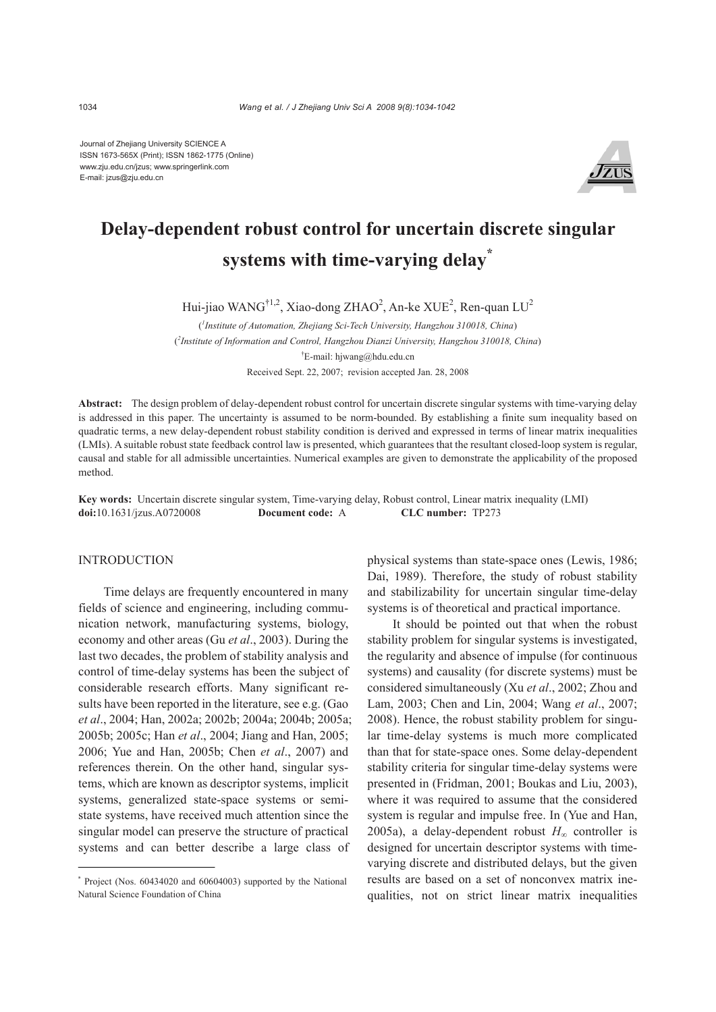Journal of Zhejiang University SCIENCE A ISSN 1673-565X (Print); ISSN 1862-1775 (Online) www.zju.edu.cn/jzus; www.springerlink.com E-mail: jzus@zju.edu.cn



# **Delay-dependent robust control for uncertain discrete singular systems with time-varying delay\***

Hui-jiao WANG<sup>†1,2</sup>, Xiao-dong ZHAO<sup>2</sup>, An-ke XUE<sup>2</sup>, Ren-quan LU<sup>2</sup>

( *1 Institute of Automation, Zhejiang Sci-Tech University, Hangzhou 310018, China*) ( *2 Institute of Information and Control, Hangzhou Dianzi University, Hangzhou 310018, China*) † E-mail: hjwang@hdu.edu.cn Received Sept. 22, 2007; revision accepted Jan. 28, 2008

**Abstract:** The design problem of delay-dependent robust control for uncertain discrete singular systems with time-varying delay is addressed in this paper. The uncertainty is assumed to be norm-bounded. By establishing a finite sum inequality based on quadratic terms, a new delay-dependent robust stability condition is derived and expressed in terms of linear matrix inequalities (LMIs). A suitable robust state feedback control law is presented, which guarantees that the resultant closed-loop system is regular, causal and stable for all admissible uncertainties. Numerical examples are given to demonstrate the applicability of the proposed method.

**Key words:** Uncertain discrete singular system, Time-varying delay, Robust control, Linear matrix inequality (LMI) **doi:**10.1631/jzus.A0720008 **Document code:** A **CLC number:** TP273

## **INTRODUCTION**

Time delays are frequently encountered in many fields of science and engineering, including communication network, manufacturing systems, biology, economy and other areas (Gu *et al*., 2003). During the last two decades, the problem of stability analysis and control of time-delay systems has been the subject of considerable research efforts. Many significant results have been reported in the literature, see e.g. (Gao *et al*., 2004; Han, 2002a; 2002b; 2004a; 2004b; 2005a; 2005b; 2005c; Han *et al*., 2004; Jiang and Han, 2005; 2006; Yue and Han, 2005b; Chen *et al*., 2007) and references therein. On the other hand, singular systems, which are known as descriptor systems, implicit systems, generalized state-space systems or semistate systems, have received much attention since the singular model can preserve the structure of practical systems and can better describe a large class of

physical systems than state-space ones (Lewis, 1986; Dai, 1989). Therefore, the study of robust stability and stabilizability for uncertain singular time-delay systems is of theoretical and practical importance.

It should be pointed out that when the robust stability problem for singular systems is investigated, the regularity and absence of impulse (for continuous systems) and causality (for discrete systems) must be considered simultaneously (Xu *et al*., 2002; Zhou and Lam, 2003; Chen and Lin, 2004; Wang *et al*., 2007; 2008). Hence, the robust stability problem for singular time-delay systems is much more complicated than that for state-space ones. Some delay-dependent stability criteria for singular time-delay systems were presented in (Fridman, 2001; Boukas and Liu, 2003), where it was required to assume that the considered system is regular and impulse free. In (Yue and Han, 2005a), a delay-dependent robust  $H_{\infty}$  controller is designed for uncertain descriptor systems with timevarying discrete and distributed delays, but the given results are based on a set of nonconvex matrix inequalities, not on strict linear matrix inequalities

<sup>\*</sup> Project (Nos. 60434020 and 60604003) supported by the National Natural Science Foundation of China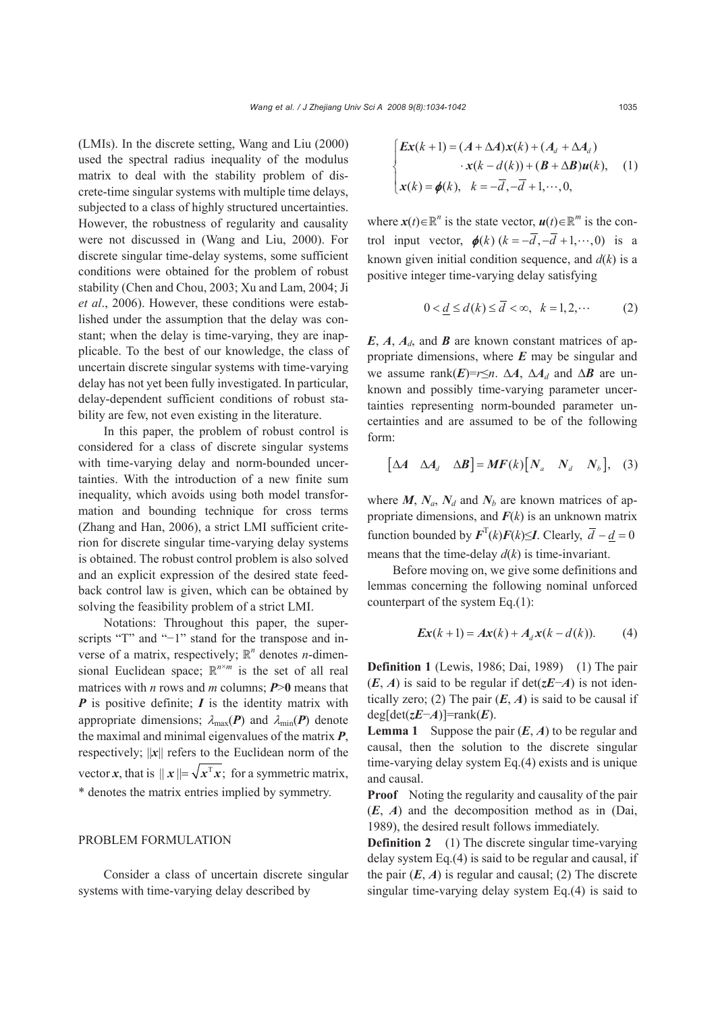(LMIs). In the discrete setting, Wang and Liu (2000) used the spectral radius inequality of the modulus matrix to deal with the stability problem of discrete-time singular systems with multiple time delays, subjected to a class of highly structured uncertainties. However, the robustness of regularity and causality were not discussed in (Wang and Liu, 2000). For discrete singular time-delay systems, some sufficient conditions were obtained for the problem of robust stability (Chen and Chou, 2003; Xu and Lam, 2004; Ji *et al*., 2006). However, these conditions were established under the assumption that the delay was constant; when the delay is time-varying, they are inapplicable. To the best of our knowledge, the class of uncertain discrete singular systems with time-varying delay has not yet been fully investigated. In particular, delay-dependent sufficient conditions of robust stability are few, not even existing in the literature.

In this paper, the problem of robust control is considered for a class of discrete singular systems with time-varying delay and norm-bounded uncertainties. With the introduction of a new finite sum inequality, which avoids using both model transformation and bounding technique for cross terms (Zhang and Han, 2006), a strict LMI sufficient criterion for discrete singular time-varying delay systems is obtained. The robust control problem is also solved and an explicit expression of the desired state feedback control law is given, which can be obtained by solving the feasibility problem of a strict LMI.

Notations: Throughout this paper, the superscripts "T" and "−1" stand for the transpose and inverse of a matrix, respectively;  $\mathbb{R}^n$  denotes *n*-dimensional Euclidean space:  $\mathbb{R}^{n \times m}$  is the set of all real matrices with *n* rows and *m* columns; *P*>**0** means that *P* is positive definite; *I* is the identity matrix with appropriate dimensions;  $\lambda_{\text{max}}(\boldsymbol{P})$  and  $\lambda_{\text{min}}(\boldsymbol{P})$  denote the maximal and minimal eigenvalues of the matrix *P*, respectively; ||*x*|| refers to the Euclidean norm of the vector *x*, that is  $||x|| = \sqrt{x^T x}$ ; for a symmetric matrix, \* denotes the matrix entries implied by symmetry.

## PROBLEM FORMULATION

Consider a class of uncertain discrete singular systems with time-varying delay described by

$$
\begin{cases}\n\boldsymbol{Ex}(k+1) = (\boldsymbol{A} + \Delta \boldsymbol{A})\boldsymbol{x}(k) + (\boldsymbol{A}_d + \Delta \boldsymbol{A}_d) \\
\boldsymbol{x}(k-d(k)) + (\boldsymbol{B} + \Delta \boldsymbol{B})\boldsymbol{u}(k), \\
\boldsymbol{x}(k) = \boldsymbol{\phi}(k), \quad k = -\overline{d}, -\overline{d} + 1, \cdots, 0,\n\end{cases}
$$
\n(1)

where  $\mathbf{x}(t) \in \mathbb{R}^n$  is the state vector,  $\mathbf{u}(t) \in \mathbb{R}^m$  is the control input vector,  $\phi(k)$  ( $k = -\overline{d}, -\overline{d} + 1, \dots, 0$ ) is a known given initial condition sequence, and  $d(k)$  is a positive integer time-varying delay satisfying

$$
0 < d \le d(k) \le \overline{d} < \infty, \quad k = 1, 2, \cdots \tag{2}
$$

*E*, *A*, *Ad*, and *B* are known constant matrices of appropriate dimensions, where *E* may be singular and we assume rank $(E)=r\leq n$ .  $\Delta A$ ,  $\Delta A_d$  and  $\Delta B$  are unknown and possibly time-varying parameter uncertainties representing norm-bounded parameter uncertainties and are assumed to be of the following form:

$$
\begin{bmatrix} \Delta A & \Delta A_d & \Delta B \end{bmatrix} = MF(k) \begin{bmatrix} N_a & N_d & N_b \end{bmatrix}, \quad (3)
$$

where  $M$ ,  $N_a$ ,  $N_d$  and  $N_b$  are known matrices of appropriate dimensions, and  $F(k)$  is an unknown matrix function bounded by  $\mathbf{F}^{T}(k)\mathbf{F}(k) \leq I$ . Clearly,  $\overline{d} - d = 0$ means that the time-delay *d*(*k*) is time-invariant.

Before moving on, we give some definitions and lemmas concerning the following nominal unforced counterpart of the system Eq.(1):

$$
Ex(k+1) = Ax(k) + A_d x(k - d(k)).
$$
 (4)

**Definition 1** (Lewis, 1986; Dai, 1989) (1) The pair (*E*, *A*) is said to be regular if det(*zE*−*A*) is not identically zero; (2) The pair  $(E, A)$  is said to be causal if deg[det(*zE*−*A*)]=rank(*E*).

**Lemma 1** Suppose the pair  $(E, A)$  to be regular and causal, then the solution to the discrete singular time-varying delay system Eq.(4) exists and is unique and causal.

**Proof** Noting the regularity and causality of the pair (*E*, *A*) and the decomposition method as in (Dai, 1989), the desired result follows immediately.

**Definition 2** (1) The discrete singular time-varying delay system Eq.(4) is said to be regular and causal, if the pair  $(E, A)$  is regular and causal; (2) The discrete singular time-varying delay system Eq.(4) is said to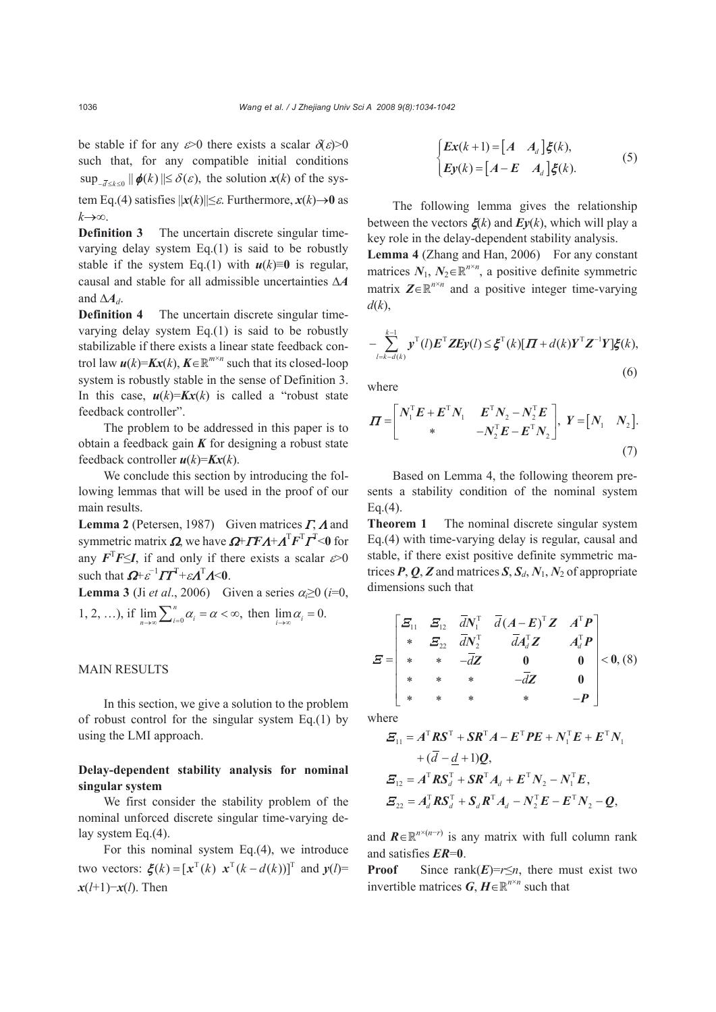be stable if for any  $\varepsilon > 0$  there exists a scalar  $\delta(\varepsilon) > 0$ such that, for any compatible initial conditions  $\sup_{-\overline{d}\leq k\leq 0} \|\phi(k)\| \leq \delta(\varepsilon)$ , the solution  $x(k)$  of the system Eq.(4) satisfies  $||x(k)|| \leq \varepsilon$ . Furthermore,  $x(k) \to 0$  as *k*→∞.

**Definition 3** The uncertain discrete singular timevarying delay system Eq.(1) is said to be robustly stable if the system Eq.(1) with  $u(k)=0$  is regular, causal and stable for all admissible uncertainties Δ*A* and  $\Delta A_d$ .

**Definition 4** The uncertain discrete singular timevarying delay system Eq.(1) is said to be robustly stabilizable if there exists a linear state feedback control law  $u(k)=Kx(k)$ ,  $K\in\mathbb{R}^{m\times n}$  such that its closed-loop system is robustly stable in the sense of Definition 3. In this case,  $u(k)=Kx(k)$  is called a "robust state" feedback controller".

The problem to be addressed in this paper is to obtain a feedback gain *K* for designing a robust state feedback controller *u*(*k*)=*Kx*(*k*).

We conclude this section by introducing the following lemmas that will be used in the proof of our main results.

**Lemma 2** (Petersen, 1987) Given matrices Γ, Λ and symmetric matrix  $\Omega$ , we have  $\Omega$ + $\Gamma$ F $\Lambda$ + $\Lambda$ <sup>T</sup> $\Gamma$ <sup>T</sup> $\Gamma$ <sup>T</sup><0 for any  $F^T F \leq I$ , if and only if there exists a scalar  $\varepsilon > 0$ such that  $\mathbf{\Omega} + \varepsilon^{-1} \mathbf{\Pi}^T + \varepsilon \mathbf{\Lambda}^T \mathbf{\Lambda} \leq 0$ .

**Lemma 3** (Ji *et al.*, 2006) Given a series  $\alpha_i \ge 0$  (*i*=0, 1, 2, ...), if  $\lim_{n\to\infty}\sum_{i=0}^n\alpha_i = \alpha < \infty$ , then  $\lim_{i\to\infty}\alpha_i = 0$ .

# MAIN RESULTS

In this section, we give a solution to the problem of robust control for the singular system Eq.(1) by using the LMI approach.

# **Delay-dependent stability analysis for nominal singular system**

We first consider the stability problem of the nominal unforced discrete singular time-varying delay system Eq.(4).

For this nominal system Eq.(4), we introduce two vectors:  $\boldsymbol{\xi}(k) = [\boldsymbol{x}^{\mathrm{T}}(k) \ \boldsymbol{x}^{\mathrm{T}}(k - d(k))]^{\mathrm{T}}$  and  $\boldsymbol{y}(l)$ = *x*(*l*+1)−*x*(*l*). Then

$$
\begin{cases}\nEx(k+1) = \begin{bmatrix} A & A_d \end{bmatrix} \xi(k), \\
Ey(k) = \begin{bmatrix} A - E & A_d \end{bmatrix} \xi(k).\n\end{cases}
$$
\n(5)

The following lemma gives the relationship between the vectors ξ(*k*) and *Ey*(*k*), which will play a key role in the delay-dependent stability analysis. Lemma 4 (Zhang and Han, 2006) For any constant matrices  $N_1$ ,  $N_2 \in \mathbb{R}^{n \times n}$ , a positive definite symmetric matrix  $\mathbf{Z} \in \mathbb{R}^{n \times n}$  and a positive integer time-varying *d*(*k*),

$$
-\sum_{l=k-d(k)}^{k-1} \mathbf{y}^{\mathrm{T}}(l)\mathbf{E}^{\mathrm{T}}\mathbf{Z}\mathbf{E}\mathbf{y}(l) \leq \boldsymbol{\xi}^{\mathrm{T}}(k)[\boldsymbol{\varPi}+d(k)\boldsymbol{Y}^{\mathrm{T}}\mathbf{Z}^{-1}\boldsymbol{Y}]\boldsymbol{\xi}(k),
$$
\n(6)

where

$$
\boldsymbol{\Pi} = \begin{bmatrix} \boldsymbol{N}_1^{\mathrm{T}} \boldsymbol{E} + \boldsymbol{E}^{\mathrm{T}} \boldsymbol{N}_1 & \boldsymbol{E}^{\mathrm{T}} \boldsymbol{N}_2 - \boldsymbol{N}_2^{\mathrm{T}} \boldsymbol{E} \\ * & -\boldsymbol{N}_2^{\mathrm{T}} \boldsymbol{E} - \boldsymbol{E}^{\mathrm{T}} \boldsymbol{N}_2 \end{bmatrix}, \ \boldsymbol{Y} = \begin{bmatrix} \boldsymbol{N}_1 & \boldsymbol{N}_2 \end{bmatrix}.
$$
\n(7)

Based on Lemma 4, the following theorem presents a stability condition of the nominal system  $Eq.(4)$ .

**Theorem 1** The nominal discrete singular system Eq.(4) with time-varying delay is regular, causal and stable, if there exist positive definite symmetric matrices  $P$ ,  $Q$ ,  $Z$  and matrices  $S$ ,  $S_d$ ,  $N_1$ ,  $N_2$  of appropriate dimensions such that

$$
E = \begin{bmatrix} \Xi_{11} & \Xi_{12} & \bar{d}N_1^{\mathrm{T}} & \bar{d}(A - E)^{\mathrm{T}}Z & A^{\mathrm{T}}P \\ * & \Xi_{22} & \bar{d}N_2^{\mathrm{T}} & \bar{d}A_d^{\mathrm{T}}Z & A_d^{\mathrm{T}}P \\ * & * & -\bar{d}Z & 0 & 0 \\ * & * & * & -\bar{d}Z & 0 \\ * & * & * & * & -P \end{bmatrix} < 0, (8)
$$

where

$$
\mathbf{E}_{11} = A^{\mathrm{T}} \mathbf{R} \mathbf{S}^{\mathrm{T}} + \mathbf{S} \mathbf{R}^{\mathrm{T}} A - \mathbf{E}^{\mathrm{T}} \mathbf{P} \mathbf{E} + \mathbf{N}_{1}^{\mathrm{T}} \mathbf{E} + \mathbf{E}^{\mathrm{T}} \mathbf{N}_{1} \n+ (\overline{d} - \underline{d} + 1) \mathbf{Q}, \n\mathbf{E}_{12} = A^{\mathrm{T}} \mathbf{R} \mathbf{S}_{d}^{\mathrm{T}} + \mathbf{S} \mathbf{R}^{\mathrm{T}} A_{d} + \mathbf{E}^{\mathrm{T}} \mathbf{N}_{2} - \mathbf{N}_{1}^{\mathrm{T}} \mathbf{E}, \n\mathbf{E}_{22} = A_{d}^{\mathrm{T}} \mathbf{R} \mathbf{S}_{d}^{\mathrm{T}} + \mathbf{S}_{d} \mathbf{R}^{\mathrm{T}} A_{d} - \mathbf{N}_{2}^{\mathrm{T}} \mathbf{E} - \mathbf{E}^{\mathrm{T}} \mathbf{N}_{2} - \mathbf{Q},
$$

and  $\mathbf{R} \in \mathbb{R}^{n \times (n-r)}$  is any matrix with full column rank and satisfies *ER*=**0**.

**Proof** Since rank $(E)=r\leq n$ , there must exist two invertible matrices  $G, H \in \mathbb{R}^{n \times n}$  such that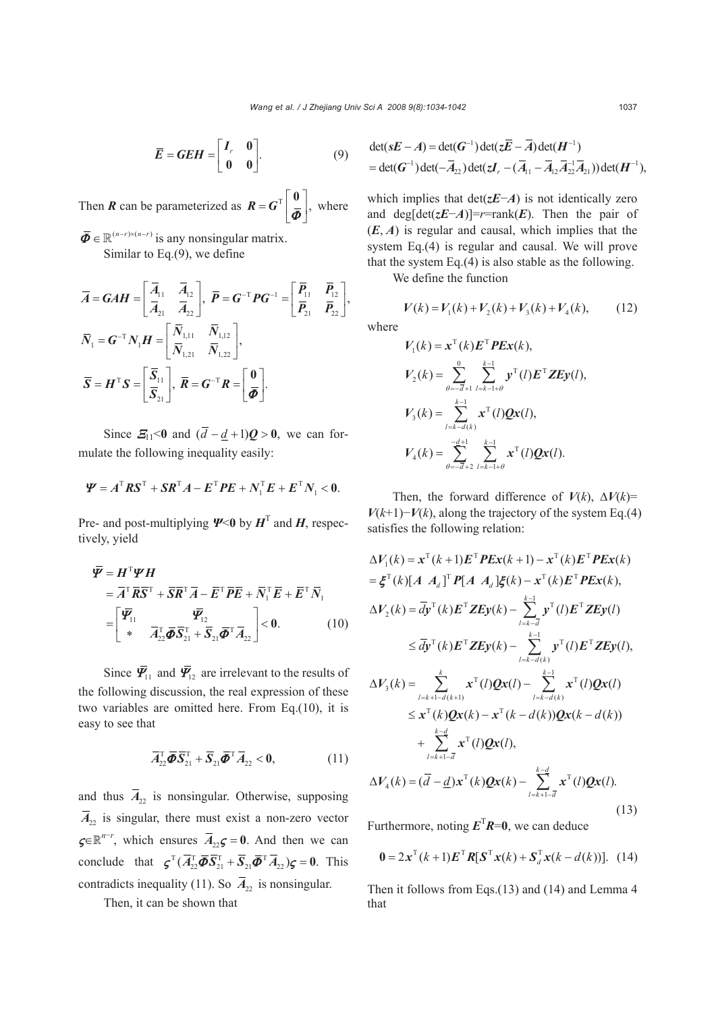$$
\overline{E} = GEH = \begin{bmatrix} I_r & 0 \\ 0 & 0 \end{bmatrix}.
$$
 (9)

Then *R* can be parameterized as  $R = G^T \begin{bmatrix} 0 \\ \bar{\phi} \end{bmatrix}$ ,  $\overline{\phi}$ , where

 $\overline{\boldsymbol{\Phi}} \in \mathbb{R}^{(n-r)\times (n-r)}$  is any nonsingular matrix. Similar to Eq.(9), we define

$$
\overline{A} = \mathbf{G} \mathbf{A} \mathbf{H} = \begin{bmatrix} \overline{A}_{11} & \overline{A}_{12} \\ \overline{A}_{21} & \overline{A}_{22} \end{bmatrix}, \ \overline{P} = \mathbf{G}^{-T} P \mathbf{G}^{-1} = \begin{bmatrix} \overline{P}_{11} & \overline{P}_{12} \\ \overline{P}_{21} & \overline{P}_{22} \end{bmatrix},
$$
\n
$$
\overline{N}_1 = \mathbf{G}^{-T} N_1 \mathbf{H} = \begin{bmatrix} \overline{N}_{1,11} & \overline{N}_{1,12} \\ \overline{N}_{1,21} & \overline{N}_{1,22} \end{bmatrix},
$$
\n
$$
\overline{S} = \mathbf{H}^T S = \begin{bmatrix} \overline{S}_{11} \\ \overline{S}_{21} \end{bmatrix}, \ \overline{R} = \mathbf{G}^{-T} R = \begin{bmatrix} \mathbf{0} \\ \overline{\boldsymbol{\Phi}} \end{bmatrix}.
$$

Since  $\mathbf{E}_{11}$ <0 and  $(\overline{d} - d + 1)\mathbf{Q} > 0$ , we can formulate the following inequality easily:

$$
\boldsymbol{\varPsi} = \boldsymbol{A}^{\mathrm{T}} \boldsymbol{R} \boldsymbol{S}^{\mathrm{T}} + \boldsymbol{S} \boldsymbol{R}^{\mathrm{T}} \boldsymbol{A} - \boldsymbol{E}^{\mathrm{T}} \boldsymbol{P} \boldsymbol{E} + \boldsymbol{N}_{1}^{\mathrm{T}} \boldsymbol{E} + \boldsymbol{E}^{\mathrm{T}} \boldsymbol{N}_{1} < 0.
$$

Pre- and post-multiplying  $\Psi$ <0 by  $H<sup>T</sup>$  and  $H$ , respectively, yield

$$
\overline{\mathbf{\Psi}} = \mathbf{H}^{\mathrm{T}} \mathbf{\mathbf{\Psi}} \mathbf{H}
$$
\n
$$
= \overline{A}^{\mathrm{T}} \overline{\mathbf{R}} \overline{\mathbf{S}}^{\mathrm{T}} + \overline{\mathbf{S}} \overline{\mathbf{R}}^{\mathrm{T}} \overline{\mathbf{A}} - \overline{\mathbf{E}}^{\mathrm{T}} \overline{\mathbf{P}} \overline{\mathbf{E}} + \overline{N}_{1}^{\mathrm{T}} \overline{\mathbf{E}} + \overline{\mathbf{E}}^{\mathrm{T}} \overline{N}_{1}
$$
\n
$$
= \begin{bmatrix} \overline{\mathbf{\Psi}}_{11} & \overline{\mathbf{\Psi}}_{12} \\ * & \overline{A}_{22}^{\mathrm{T}} \overline{\mathbf{\Phi}} \overline{\mathbf{S}}_{21}^{\mathrm{T}} + \overline{\mathbf{S}}_{21} \overline{\mathbf{\Phi}}^{\mathrm{T}} \overline{A}_{22} \end{bmatrix} < 0.
$$
\n(10)

Since  $\bar{\mathbf{Y}}_{11}$  and  $\bar{\mathbf{Y}}_{12}$  are irrelevant to the results of the following discussion, the real expression of these two variables are omitted here. From Eq.(10), it is easy to see that

$$
\overline{A}_{22}^{\mathrm{T}}\overline{\boldsymbol{\Phi}}\overline{\mathbf{S}}_{21}^{\mathrm{T}} + \overline{\mathbf{S}}_{21}\overline{\boldsymbol{\Phi}}^{\mathrm{T}}\overline{A}_{22} < \mathbf{0},\tag{11}
$$

and thus  $\overline{A}_{22}$  is nonsingular. Otherwise, supposing  $\overline{A}_{22}$  is singular, there must exist a non-zero vector  $\boldsymbol{\varsigma} \in \mathbb{R}^{n-r}$ , which ensures  $\overline{A}_{22}\boldsymbol{\varsigma} = 0$ . And then we can conclude that  $\boldsymbol{\zeta}^T (\overline{A}_{22}^T \overline{\boldsymbol{\phi}} \overline{S}_{21}^T + \overline{S}_{21} \overline{\boldsymbol{\phi}}^T \overline{A}_{22}) \boldsymbol{\zeta} = 0$ . This contradicts inequality (11). So  $\overline{A}_{22}$  is nonsingular.

Then, it can be shown that

$$
\det(sE-A) = \det(G^{-1}) \det(z\overline{E}-\overline{A}) \det(H^{-1})
$$
  
= det(G<sup>-1</sup>) det(- $\overline{A}_{22}$ ) det( $zI_r - (\overline{A}_{11} - \overline{A}_{12}\overline{A}_{22}^{-1}\overline{A}_{21})$ ) det( $H^{-1}$ ),

which implies that det(*zE*−*A*) is not identically zero and deg[det( $zE-A$ )]=*r*=rank(*E*). Then the pair of  $(E, A)$  is regular and causal, which implies that the system Eq.(4) is regular and causal. We will prove that the system Eq.(4) is also stable as the following.

We define the function

$$
V(k) = V_1(k) + V_2(k) + V_3(k) + V_4(k), \qquad (12)
$$

where

$$
V_1(k) = \mathbf{x}^{\mathrm{T}}(k)\mathbf{E}^{\mathrm{T}}\mathbf{P}\mathbf{E}\mathbf{x}(k),
$$
  
\n
$$
V_2(k) = \sum_{\theta=-\bar{d}+1}^{\infty} \sum_{l=k-l+\theta}^{k-1} \mathbf{y}^{\mathrm{T}}(l)\mathbf{E}^{\mathrm{T}}\mathbf{Z}\mathbf{E}\mathbf{y}(l),
$$
  
\n
$$
V_3(k) = \sum_{l=k-d(k)}^{k-1} \mathbf{x}^{\mathrm{T}}(l)\mathbf{Q}\mathbf{x}(l),
$$
  
\n
$$
V_4(k) = \sum_{\theta=-\bar{d}+2}^{-\frac{d+1}{2}} \sum_{l=k-l+\theta}^{k-1} \mathbf{x}^{\mathrm{T}}(l)\mathbf{Q}\mathbf{x}(l).
$$

Then, the forward difference of  $V(k)$ ,  $\Delta V(k)$ =  $V(k+1)$ − $V(k)$ , along the trajectory of the system Eq.(4) satisfies the following relation:

$$
\Delta V_1(k) = \mathbf{x}^{\mathrm{T}}(k+1)\mathbf{E}^{\mathrm{T}}\mathbf{P}\mathbf{E}\mathbf{x}(k+1) - \mathbf{x}^{\mathrm{T}}(k)\mathbf{E}^{\mathrm{T}}\mathbf{P}\mathbf{E}\mathbf{x}(k)
$$
  
\n
$$
= \xi^{\mathrm{T}}(k)[A \ A_d]^{\mathrm{T}}\mathbf{P}[A \ A_d] \xi(k) - \mathbf{x}^{\mathrm{T}}(k)\mathbf{E}^{\mathrm{T}}\mathbf{P}\mathbf{E}\mathbf{x}(k),
$$
  
\n
$$
\Delta V_2(k) = \overline{d}\mathbf{y}^{\mathrm{T}}(k)\mathbf{E}^{\mathrm{T}}\mathbf{Z}\mathbf{E}\mathbf{y}(k) - \sum_{l=k-\overline{d}}^{k-1} \mathbf{y}^{\mathrm{T}}(l)\mathbf{E}^{\mathrm{T}}\mathbf{Z}\mathbf{E}\mathbf{y}(l)
$$
  
\n
$$
\leq \overline{d}\mathbf{y}^{\mathrm{T}}(k)\mathbf{E}^{\mathrm{T}}\mathbf{Z}\mathbf{E}\mathbf{y}(k) - \sum_{l=k-\overline{d}}^{k-1} \mathbf{y}^{\mathrm{T}}(l)\mathbf{E}^{\mathrm{T}}\mathbf{Z}\mathbf{E}\mathbf{y}(l),
$$
  
\n
$$
\Delta V_3(k) = \sum_{l=k+1-\overline{d}(k+1)}^{k} \mathbf{x}^{\mathrm{T}}(l)\mathbf{Q}\mathbf{x}(l) - \sum_{l=k-\overline{d}(k)}^{k-1} \mathbf{x}^{\mathrm{T}}(l)\mathbf{Q}\mathbf{x}(l)
$$
  
\n
$$
\leq \mathbf{x}^{\mathrm{T}}(k)\mathbf{Q}\mathbf{x}(k) - \mathbf{x}^{\mathrm{T}}(k - d(k))\mathbf{Q}\mathbf{x}(k - d(k))
$$
  
\n
$$
+ \sum_{l=k+1-\overline{d}}^{k-\overline{d}} \mathbf{x}^{\mathrm{T}}(l)\mathbf{Q}\mathbf{x}(l),
$$
  
\n
$$
\Delta V_4(k) = (\overline{d} - \underline{d})\mathbf{x}^{\mathrm{T}}(k)\mathbf{Q}\mathbf{x}(k) - \sum_{l=k+1-\overline{d}}^{k-\overline{d}} \mathbf{x}^{\mathrm{T}}(l)\mathbf{Q}\mathbf{x}(l).
$$

Furthermore, noting  $E^{T}R=0$ , we can deduce

$$
\mathbf{0} = 2\mathbf{x}^{\mathrm{T}}(k+1)\mathbf{E}^{\mathrm{T}}\mathbf{R}[\mathbf{S}^{\mathrm{T}}\mathbf{x}(k) + \mathbf{S}_{d}^{\mathrm{T}}\mathbf{x}(k-d(k))]. \tag{14}
$$

Then it follows from Eqs.(13) and (14) and Lemma 4 that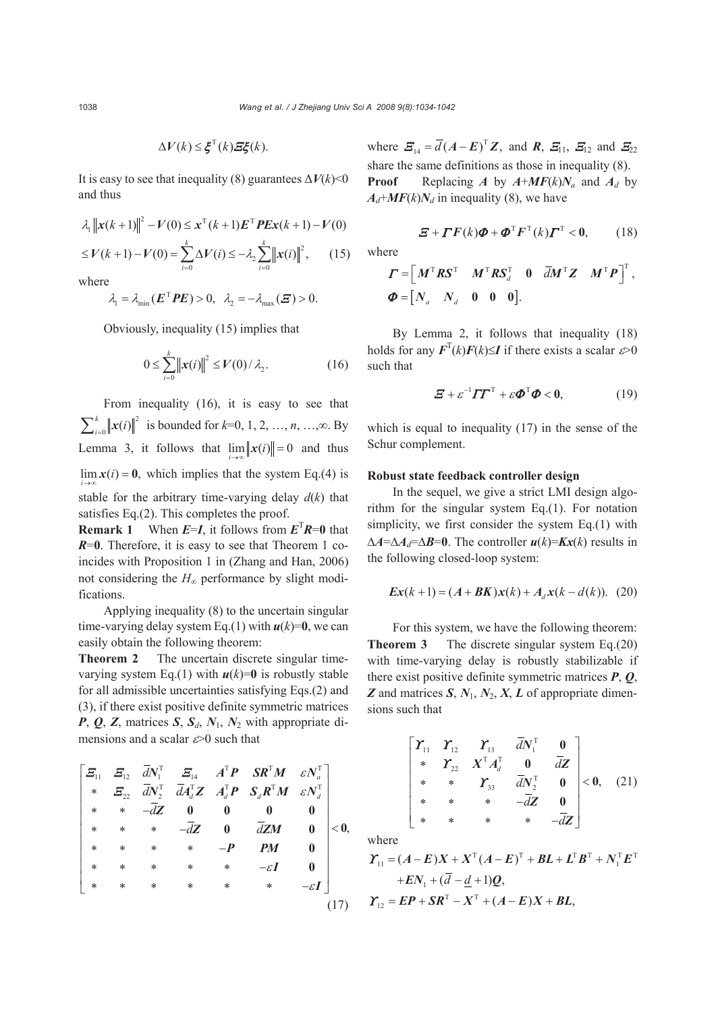$$
\Delta V(k) \leq \xi^{T}(k) \Xi \xi(k).
$$

It is easy to see that inequality (8) guarantees  $\Delta V(k)$  < 0 and thus

$$
\lambda_1 \| \mathbf{x}(k+1) \|^2 - V(0) \le \mathbf{x}^{\mathrm{T}}(k+1) \mathbf{E}^{\mathrm{T}} \mathbf{P} \mathbf{E} \mathbf{x}(k+1) - V(0)
$$
  

$$
\le V(k+1) - V(0) = \sum_{i=0}^{k} \Delta V(i) \le -\lambda_2 \sum_{i=0}^{k} \| \mathbf{x}(i) \|^2, \qquad (15)
$$

 $i = 0$  *i* 

where

$$
\lambda_1 = \lambda_{\min}(\mathbf{E}^{\mathrm{T}} \mathbf{P} \mathbf{E}) > 0, \quad \lambda_2 = -\lambda_{\max}(\mathbf{E}) > 0.
$$

Obviously, inequality (15) implies that

$$
0 \le \sum_{i=0}^{k} ||x(i)||^2 \le V(0) / \lambda_2.
$$
 (16)

From inequality (16), it is easy to see that  $\sum_{i=0}^{k} ||x(i)||^2$  is bounded for *k*=0, 1, 2, …, *n*, …,∞. By Lemma 3, it follows that  $\lim_{i \to \infty} ||x(i)|| = 0$  and thus  $\lim_{i \to \infty} x(i) = 0$ , which implies that the system Eq.(4) is stable for the arbitrary time-varying delay  $d(k)$  that satisfies Eq.(2). This completes the proof.

**Remark 1** When  $E=I$ , it follows from  $E^{T}R=0$  that *R*=**0**. Therefore, it is easy to see that Theorem 1 coincides with Proposition 1 in (Zhang and Han, 2006) not considering the *H*∞ performance by slight modifications.

Applying inequality (8) to the uncertain singular time-varying delay system Eq.(1) with  $u(k)=0$ , we can easily obtain the following theorem:

**Theorem 2** The uncertain discrete singular timevarying system Eq.(1) with  $u(k)=0$  is robustly stable for all admissible uncertainties satisfying Eqs.(2) and (3), if there exist positive definite symmetric matrices *P*, *Q*, *Z*, matrices *S*, *Sd*, *N*1, *N*2 with appropriate dimensions and a scalar  $\approx 0$  such that

$$
\begin{bmatrix}\n\Xi_{11} & \Xi_{12} & \bar{d}N_1^T & \Xi_{14} & A^T P & SR^T M & \varepsilon N_a^T \\
* & \Xi_{22} & \bar{d}N_2^T & \bar{d}A_d^T Z & A_d^T P & S_d R^T M & \varepsilon N_d^T \\
* & * & -\bar{d}Z & 0 & 0 & 0 & 0 \\
* & * & * & * & -\bar{d}Z & 0 & \bar{d}ZM & 0 \\
* & * & * & * & * & -P & PM & 0 \\
* & * & * & * & * & -\varepsilon I & 0 \\
* & * & * & * & * & * & -\varepsilon I\n\end{bmatrix} < 0,
$$
\n
$$
\begin{bmatrix}\n\Xi_{11} & \Xi_{12} & \Xi_{13} & \Xi_{14} & \Xi_{15} \\
\Xi_{22} & \Xi_{23} & \Xi_{24} & \Xi_{25} & \Xi_{26} & \Xi_{27} \\
* & * & * & * & * & -\varepsilon I & 0 \\
* & * & * & * & * & * & -\varepsilon I\n\end{bmatrix} < 0
$$
\n
$$
(17)
$$

where  $\mathbf{E}_{14} = \overline{d}(A - \mathbf{E})^{\mathrm{T}} \mathbf{Z}$ , and  $\mathbf{R}, \mathbf{E}_{11}, \mathbf{E}_{12}$  and  $\mathbf{E}_{22}$ share the same definitions as those in inequality (8). **Proof** Replacing *A* by  $A+MF(k)N_a$  and  $A_d$  by  $A_d + MF(k)N_d$  in inequality (8), we have

$$
\boldsymbol{\Xi} + \boldsymbol{\Gamma} \boldsymbol{F}(k) \boldsymbol{\Phi} + \boldsymbol{\Phi}^{\mathrm{T}} \boldsymbol{F}^{\mathrm{T}}(k) \boldsymbol{\Gamma}^{\mathrm{T}} < \boldsymbol{0}, \qquad (18)
$$

where

$$
\boldsymbol{\Gamma} = \begin{bmatrix} \boldsymbol{M}^{\mathrm{T}} \boldsymbol{R} \boldsymbol{S}^{\mathrm{T}} & \boldsymbol{M}^{\mathrm{T}} \boldsymbol{R} \boldsymbol{S}^{\mathrm{T}}_{d} & \boldsymbol{0} & \overline{d} \boldsymbol{M}^{\mathrm{T}} \boldsymbol{Z} & \boldsymbol{M}^{\mathrm{T}} \boldsymbol{P} \end{bmatrix}^{\mathrm{T}},
$$
  

$$
\boldsymbol{\Phi} = \begin{bmatrix} N_{a} & N_{d} & 0 & 0 & 0 \end{bmatrix}.
$$

By Lemma 2, it follows that inequality (18) holds for any  $F^{T}(k)F(k) \leq I$  if there exists a scalar  $\varepsilon > 0$ such that

$$
\mathbf{\Xi} + \varepsilon^{-1} \boldsymbol{\varGamma} \boldsymbol{\varGamma}^{\mathrm{T}} + \varepsilon \boldsymbol{\varPhi}^{\mathrm{T}} \boldsymbol{\varPhi} < \mathbf{0}, \tag{19}
$$

which is equal to inequality (17) in the sense of the Schur complement.

### **Robust state feedback controller design**

In the sequel, we give a strict LMI design algorithm for the singular system Eq.(1). For notation simplicity, we first consider the system Eq.(1) with  $\Delta A = \Delta A_d = \Delta B = 0$ . The controller  $u(k) = Kx(k)$  results in the following closed-loop system:

$$
Ex(k+1) = (A + BK)x(k) + A_d x(k - d(k)).
$$
 (20)

For this system, we have the following theorem: **Theorem 3** The discrete singular system Eq.(20) with time-varying delay is robustly stabilizable if there exist positive definite symmetric matrices *P*, *Q*, *Z* and matrices *S*, *N*1, *N*2, *X*, *L* of appropriate dimensions such that

$$
\begin{bmatrix}\n\boldsymbol{\varUpsilon}_{11} & \boldsymbol{\varUpsilon}_{12} & \boldsymbol{\varUpsilon}_{13} & \bar{d}\boldsymbol{N}_{1}^{\mathrm{T}} & \mathbf{0} \\
\ast & \boldsymbol{\varUpsilon}_{22} & \mathbf{X}^{\mathrm{T}}\boldsymbol{A}_{d}^{\mathrm{T}} & \mathbf{0} & \bar{d}\mathbf{Z} \\
\ast & \ast & \boldsymbol{\varUpsilon}_{33} & \bar{d}\mathbf{N}_{2}^{\mathrm{T}} & \mathbf{0} \\
\ast & \ast & \ast & -\bar{d}\mathbf{Z} & \mathbf{0} \\
\ast & \ast & \ast & \ast & -\bar{d}\mathbf{Z}\n\end{bmatrix} < \mathbf{0}, \quad (21)
$$

where

$$
\mathbf{\Upsilon}_{11} = (A - E)X + X^{T}(A - E)^{T} + BL + L^{T}B^{T} + N_{1}^{T}E^{T}
$$

$$
+ EN_{1} + (\overline{d} - \underline{d} + 1)\underline{Q},
$$

$$
\mathbf{\Upsilon}_{12} = EP + SR^{T} - X^{T} + (A - E)X + BL,
$$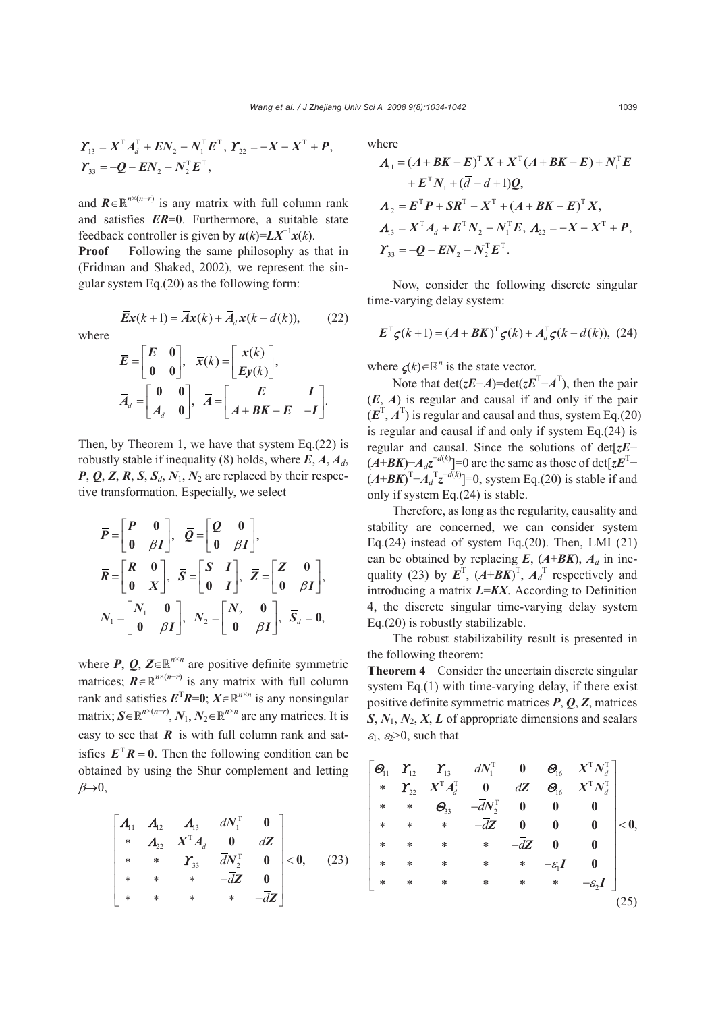$$
\boldsymbol{\Upsilon}_{13} = \boldsymbol{X}^{\mathrm{T}} \boldsymbol{A}_d^{\mathrm{T}} + \boldsymbol{E} \boldsymbol{N}_2 - \boldsymbol{N}_1^{\mathrm{T}} \boldsymbol{E}^{\mathrm{T}}, \ \boldsymbol{\Upsilon}_{22} = -\boldsymbol{X} - \boldsymbol{X}^{\mathrm{T}} + \boldsymbol{P},
$$

$$
\boldsymbol{\Upsilon}_{33} = -\boldsymbol{Q} - \boldsymbol{E} \boldsymbol{N}_2 - \boldsymbol{N}_2^{\mathrm{T}} \boldsymbol{E}^{\mathrm{T}},
$$

and  $\mathbf{R} \in \mathbb{R}^{n \times (n-r)}$  is any matrix with full column rank and satisfies *ER*=**0**. Furthermore, a suitable state feedback controller is given by  $u(k)=LX^{-1}x(k)$ .

**Proof** Following the same philosophy as that in (Fridman and Shaked, 2002), we represent the singular system Eq.(20) as the following form:

$$
\overline{Ex}(k+1) = \overline{A}\overline{x}(k) + \overline{A}_d\overline{x}(k - d(k)),
$$
 (22)

where

$$
\overline{E} = \begin{bmatrix} E & 0 \\ 0 & 0 \end{bmatrix}, \quad \overline{x}(k) = \begin{bmatrix} x(k) \\ Ey(k) \end{bmatrix},
$$

$$
\overline{A}_d = \begin{bmatrix} 0 & 0 \\ A_d & 0 \end{bmatrix}, \quad \overline{A} = \begin{bmatrix} E & I \\ A + BK - E & -I \end{bmatrix}.
$$

Then, by Theorem 1, we have that system  $Eq.(22)$  is robustly stable if inequality (8) holds, where  $E$ ,  $A$ ,  $A$ <sup>*d*</sup>,  $P$ ,  $Q$ ,  $Z$ ,  $R$ ,  $S$ ,  $S_d$ ,  $N_1$ ,  $N_2$  are replaced by their respective transformation. Especially, we select

$$
\overline{P} = \begin{bmatrix} P & 0 \\ 0 & \beta I \end{bmatrix}, \overline{Q} = \begin{bmatrix} Q & 0 \\ 0 & \beta I \end{bmatrix},
$$

$$
\overline{R} = \begin{bmatrix} R & 0 \\ 0 & X \end{bmatrix}, \overline{S} = \begin{bmatrix} S & I \\ 0 & I \end{bmatrix}, \overline{Z} = \begin{bmatrix} Z & 0 \\ 0 & \beta I \end{bmatrix},
$$

$$
\overline{N}_1 = \begin{bmatrix} N_1 & 0 \\ 0 & \beta I \end{bmatrix}, \overline{N}_2 = \begin{bmatrix} N_2 & 0 \\ 0 & \beta I \end{bmatrix}, \overline{S}_d = 0,
$$

where *P*, *Q*, *Z*∈ $\mathbb{R}^{n \times n}$  are positive definite symmetric matrices;  $\mathbf{R} \in \mathbb{R}^{n \times (n-r)}$  is any matrix with full column rank and satisfies  $E^{T}R=0$ ;  $X \in \mathbb{R}^{n \times n}$  is any nonsingular matrix;  $S \in \mathbb{R}^{n \times (n-r)}$ ,  $N_1, N_2 \in \mathbb{R}^{n \times n}$  are any matrices. It is easy to see that  $\overline{R}$  is with full column rank and satisfies  $\overline{E}^T \overline{R} = 0$ . Then the following condition can be obtained by using the Shur complement and letting  $\beta \rightarrow 0$ ,

$$
\begin{bmatrix} A_{11} & A_{12} & A_{13} & \bar{d}N_1^{\mathrm{T}} & 0 \\ * & A_{22} & X^{\mathrm{T}}A_d & 0 & \bar{d}Z \\ * & * & \mathbf{r}_{33} & \bar{d}N_2^{\mathrm{T}} & 0 \\ * & * & * & -\bar{d}\mathbf{Z} & 0 \\ * & * & * & * & -\bar{d}\mathbf{Z} \end{bmatrix} < 0, \quad (23)
$$

where

$$
A_{11} = (A + BK - E)^{T} X + X^{T} (A + BK - E) + N_{1}^{T} E
$$
  
+  $E^{T} N_{1} + (\overline{d} - \underline{d} + 1) Q$ ,  

$$
A_{12} = E^{T} P + SR^{T} - X^{T} + (A + BK - E)^{T} X,
$$
  

$$
A_{13} = X^{T} A_{d} + E^{T} N_{2} - N_{1}^{T} E, A_{22} = -X - X^{T} + P,
$$
  

$$
Y_{33} = -Q - EN_{2} - N_{2}^{T} E^{T}.
$$

Now, consider the following discrete singular time-varying delay system:

$$
\boldsymbol{E}^{\mathrm{T}} \boldsymbol{\zeta}(k+1) = (\boldsymbol{A} + \boldsymbol{B}\boldsymbol{K})^{\mathrm{T}} \boldsymbol{\zeta}(k) + \boldsymbol{A}_d^{\mathrm{T}} \boldsymbol{\zeta}(k - d(k)), \ (24)
$$

where  $\varsigma(k) \in \mathbb{R}^n$  is the state vector.

Note that  $\det(zE-A) = \det(zE^{T}-A^{T})$ , then the pair (*E*, *A*) is regular and causal if and only if the pair  $(E^T, A^T)$  is regular and causal and thus, system Eq.(20) is regular and causal if and only if system Eq.(24) is regular and causal. Since the solutions of det[*zE*−  $(A+BK)-A_d z^{-d(k)}$ ]=0 are the same as those of det[ $zE^T (A+B K)^{T}$  $-A_d^{T} z^{-d(k)}$ ]=0, system Eq.(20) is stable if and only if system Eq.(24) is stable.

Therefore, as long as the regularity, causality and stability are concerned, we can consider system Eq.(24) instead of system Eq.(20). Then, LMI  $(21)$ can be obtained by replacing  $E$ ,  $(A+BK)$ ,  $A_d$  in inequality (23) by  $\mathbf{E}^T$ ,  $(A+B\mathbf{K})^T$ ,  $A_d$ <sup>T</sup> respectively and introducing a matrix *L*=*KX*. According to Definition 4, the discrete singular time-varying delay system Eq.(20) is robustly stabilizable.

The robust stabilizability result is presented in the following theorem:

**Theorem 4** Consider the uncertain discrete singular system Eq.(1) with time-varying delay, if there exist positive definite symmetric matrices *P*, *Q*, *Z*, matrices *S*, *N*1, *N*2, *X*, *L* of appropriate dimensions and scalars  $\varepsilon_1$ ,  $\varepsilon_2$ >0, such that

$$
\begin{bmatrix}\n\Theta_{11} & Y_{12} & Y_{13} & \overline{d}N_1^T & 0 & \Theta_{16} & X^T N_d^T \\
* & Y_{22} & X^T A_d^T & 0 & \overline{d}Z & \Theta_{16} & X^T N_d^T \\
* & * & \Theta_{33} & -\overline{d}N_2^T & 0 & 0 & 0 \\
* & * & * & -\overline{d}Z & 0 & 0 & 0 \\
* & * & * & * & -\overline{d}Z & 0 & 0 \\
* & * & * & * & * & -\overline{c}_1I & 0 \\
* & * & * & * & * & * & -\overline{c}_2I\n\end{bmatrix} < 0.
$$
\n
$$
\begin{bmatrix}\n\Theta_{11} & Y_{12} & \overline{d}N_1^T & 0 & \overline{d}N_2^T \\
* & * & * & -\overline{d}N_2^T & 0 & 0 \\
* & * & * & * & -\overline{c}_2I & 0 \\
* & * & * & * & * & -\overline{c}_2I\n\end{bmatrix}
$$
\n
$$
(25)
$$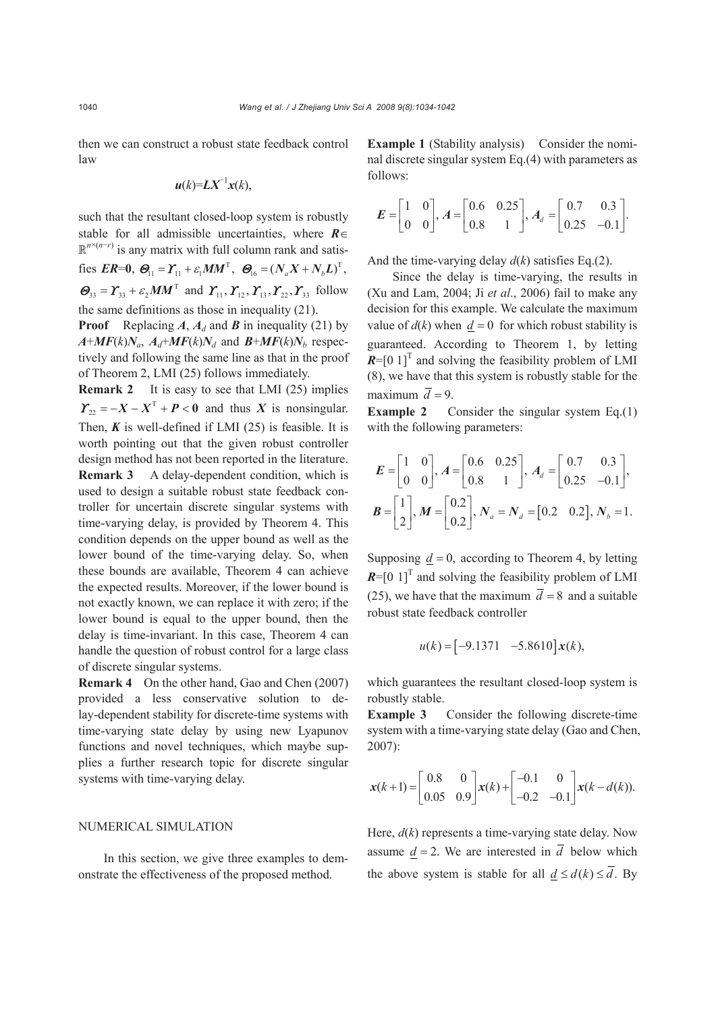then we can construct a robust state feedback control law

$$
u(k)=L X^{-1}x(k),
$$

such that the resultant closed-loop system is robustly stable for all admissible uncertainties, where *R*∈  $\mathbb{R}^{n \times (n-r)}$  is any matrix with full column rank and satisfies  $ER=0$ ,  $\mathcal{O}_{11} = \mathcal{Y}_{11} + \varepsilon_1 MM^T$ ,  $\mathcal{O}_{16} = (N_a X + N_b L)^T$ ,  $\mathcal{O}_{33} = \mathcal{X}_{33} + \varepsilon_2 M M^{\text{T}}$  and  $\mathcal{Y}_{11}, \mathcal{Y}_{12}, \mathcal{Y}_{13}, \mathcal{Y}_{22}, \mathcal{Y}_{33}$  follow the same definitions as those in inequality (21).

**Proof** Replacing *A*,  $A_d$  and *B* in inequality (21) by  $A+MF(k)N_a$ ,  $A_d+MF(k)N_d$  and  $B+MF(k)N_b$  respectively and following the same line as that in the proof of Theorem 2, LMI (25) follows immediately.

**Remark 2** It is easy to see that LMI (25) implies  $\Gamma_{22} = -X - X^{T} + P < 0$  and thus *X* is nonsingular. Then,  $K$  is well-defined if LMI (25) is feasible. It is worth pointing out that the given robust controller design method has not been reported in the literature. **Remark 3** A delay-dependent condition, which is used to design a suitable robust state feedback controller for uncertain discrete singular systems with time-varying delay, is provided by Theorem 4. This condition depends on the upper bound as well as the lower bound of the time-varying delay. So, when these bounds are available, Theorem 4 can achieve the expected results. Moreover, if the lower bound is not exactly known, we can replace it with zero; if the

lower bound is equal to the upper bound, then the delay is time-invariant. In this case, Theorem 4 can handle the question of robust control for a large class of discrete singular systems.

**Remark 4** On the other hand, Gao and Chen (2007) provided a less conservative solution to delay-dependent stability for discrete-time systems with time-varying state delay by using new Lyapunov functions and novel techniques, which maybe supplies a further research topic for discrete singular systems with time-varying delay.

# NUMERICAL SIMULATION

In this section, we give three examples to demonstrate the effectiveness of the proposed method.

**Example 1** (Stability analysis) Consider the nominal discrete singular system Eq.(4) with parameters as follows:

$$
E = \begin{bmatrix} 1 & 0 \\ 0 & 0 \end{bmatrix}, A = \begin{bmatrix} 0.6 & 0.25 \\ 0.8 & 1 \end{bmatrix}, A_d = \begin{bmatrix} 0.7 & 0.3 \\ 0.25 & -0.1 \end{bmatrix}.
$$

And the time-varying delay  $d(k)$  satisfies Eq.(2).

Since the delay is time-varying, the results in (Xu and Lam, 2004; Ji *et al*., 2006) fail to make any decision for this example. We calculate the maximum value of  $d(k)$  when  $d = 0$  for which robust stability is guaranteed. According to Theorem 1, by letting  $R = [0 1]$ <sup>T</sup> and solving the feasibility problem of LMI (8), we have that this system is robustly stable for the maximum  $\overline{d} = 9$ .

**Example 2** Consider the singular system Eq.(1) with the following parameters:

$$
E = \begin{bmatrix} 1 & 0 \\ 0 & 0 \end{bmatrix}, A = \begin{bmatrix} 0.6 & 0.25 \\ 0.8 & 1 \end{bmatrix}, A_d = \begin{bmatrix} 0.7 & 0.3 \\ 0.25 & -0.1 \end{bmatrix},
$$
  

$$
B = \begin{bmatrix} 1 \\ 2 \end{bmatrix}, M = \begin{bmatrix} 0.2 \\ 0.2 \end{bmatrix}, N_a = N_d = \begin{bmatrix} 0.2 & 0.2 \end{bmatrix}, N_b = 1.
$$

Supposing  $d = 0$ , according to Theorem 4, by letting  $R=[0 1]$ <sup>T</sup> and solving the feasibility problem of LMI (25), we have that the maximum  $\overline{d} = 8$  and a suitable robust state feedback controller

$$
u(k) = \begin{bmatrix} -9.1371 & -5.8610 \end{bmatrix} x(k),
$$

which guarantees the resultant closed-loop system is robustly stable.

**Example 3** Consider the following discrete-time system with a time-varying state delay (Gao and Chen, 2007):

$$
\mathbf{x}(k+1) = \begin{bmatrix} 0.8 & 0 \\ 0.05 & 0.9 \end{bmatrix} \mathbf{x}(k) + \begin{bmatrix} -0.1 & 0 \\ -0.2 & -0.1 \end{bmatrix} \mathbf{x}(k-d(k)).
$$

Here, *d*(*k*) represents a time-varying state delay. Now assume  $d = 2$ . We are interested in  $\overline{d}$  below which the above system is stable for all  $d \le d(k) \le \overline{d}$ . By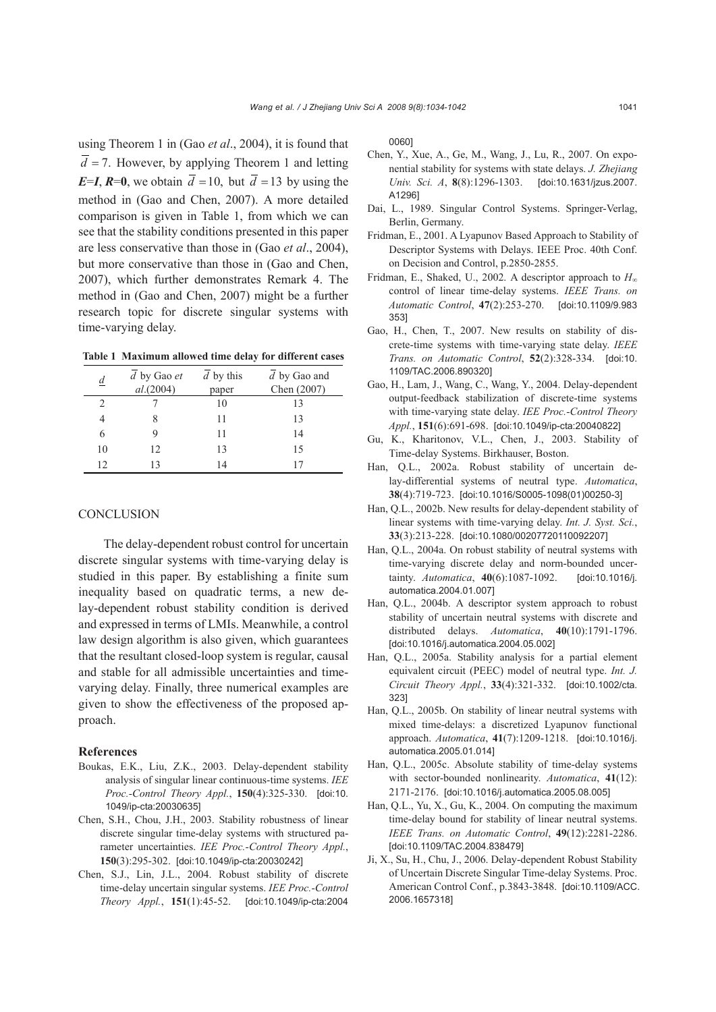using Theorem 1 in (Gao *et al*., 2004), it is found that  $d = 7$ . However, by applying Theorem 1 and letting *E*=*I*, *R*=0, we obtain  $\overline{d}$  =10, but  $\overline{d}$  =13 by using the method in (Gao and Chen, 2007). A more detailed comparison is given in Table 1, from which we can see that the stability conditions presented in this paper are less conservative than those in (Gao *et al*., 2004), but more conservative than those in (Gao and Chen, 2007), which further demonstrates Remark 4. The method in (Gao and Chen, 2007) might be a further research topic for discrete singular systems with time-varying delay.

**Table 1 Maximum allowed time delay for different cases**

| d                             | $d$ by Gao $et$<br>al.(2004) | $d$ by this<br>paper | $d$ by Gao and<br>Chen (2007) |
|-------------------------------|------------------------------|----------------------|-------------------------------|
| $\mathfrak{D}_{\mathfrak{p}}$ |                              | 10                   | 13                            |
|                               |                              | 11                   | 13                            |
| 6                             |                              | 11                   | 14                            |
| 10                            | 12                           | 13                   | 15                            |
| 12                            |                              | 14                   |                               |

#### **CONCLUSION**

The delay-dependent robust control for uncertain discrete singular systems with time-varying delay is studied in this paper. By establishing a finite sum inequality based on quadratic terms, a new delay-dependent robust stability condition is derived and expressed in terms of LMIs. Meanwhile, a control law design algorithm is also given, which guarantees that the resultant closed-loop system is regular, causal and stable for all admissible uncertainties and timevarying delay. Finally, three numerical examples are given to show the effectiveness of the proposed approach.

## **References**

- Boukas, E.K., Liu, Z.K., 2003. Delay-dependent stability analysis of singular linear continuous-time systems. *IEE Proc.-Control Theory Appl.*, **150**(4):325-330. [doi:10. 1049/ip-cta:20030635]
- Chen, S.H., Chou, J.H., 2003. Stability robustness of linear discrete singular time-delay systems with structured parameter uncertainties. *IEE Proc.-Control Theory Appl.*, **150**(3):295-302. [doi:10.1049/ip-cta:20030242]
- Chen, S.J., Lin, J.L., 2004. Robust stability of discrete time-delay uncertain singular systems. *IEE Proc.-Control Theory Appl.*, **151**(1):45-52. [doi:10.1049/ip-cta:2004

0060]

- Chen, Y., Xue, A., Ge, M., Wang, J., Lu, R., 2007. On exponential stability for systems with state delays. *J. Zhejiang Univ. Sci. A*, **8**(8):1296-1303. [doi:10.1631/jzus.2007. A1296]
- Dai, L., 1989. Singular Control Systems. Springer-Verlag, Berlin, Germany.
- Fridman, E., 2001. A Lyapunov Based Approach to Stability of Descriptor Systems with Delays. IEEE Proc. 40th Conf. on Decision and Control, p.2850-2855.
- Fridman, E., Shaked, U., 2002. A descriptor approach to *H*<sup>∞</sup> control of linear time-delay systems. *IEEE Trans. on Automatic Control*, **47**(2):253-270. [doi:10.1109/9.983 353]
- Gao, H., Chen, T., 2007. New results on stability of discrete-time systems with time-varying state delay. *IEEE Trans. on Automatic Control*, **52**(2):328-334. [doi:10. 1109/TAC.2006.890320]
- Gao, H., Lam, J., Wang, C., Wang, Y., 2004. Delay-dependent output-feedback stabilization of discrete-time systems with time-varying state delay. *IEE Proc.-Control Theory Appl.*, **151**(6):691-698. [doi:10.1049/ip-cta:20040822]
- Gu, K., Kharitonov, V.L., Chen, J., 2003. Stability of Time-delay Systems. Birkhauser, Boston.
- Han, Q.L., 2002a. Robust stability of uncertain delay-differential systems of neutral type. *Automatica*, **38**(4):719-723. [doi:10.1016/S0005-1098(01)00250-3]
- Han, Q.L., 2002b. New results for delay-dependent stability of linear systems with time-varying delay. *Int. J. Syst. Sci.*, **33**(3):213-228. [doi:10.1080/00207720110092207]
- Han, Q.L., 2004a. On robust stability of neutral systems with time-varying discrete delay and norm-bounded uncertainty. *Automatica*, **40**(6):1087-1092. [doi:10.1016/j. automatica.2004.01.007]
- Han, Q.L., 2004b. A descriptor system approach to robust stability of uncertain neutral systems with discrete and distributed delays. *Automatica*, **40**(10):1791-1796. [doi:10.1016/j.automatica.2004.05.002]
- Han, Q.L., 2005a. Stability analysis for a partial element equivalent circuit (PEEC) model of neutral type. *Int. J. Circuit Theory Appl.*, **33**(4):321-332. [doi:10.1002/cta. 323]
- Han, Q.L., 2005b. On stability of linear neutral systems with mixed time-delays: a discretized Lyapunov functional approach. *Automatica*, **41**(7):1209-1218. [doi:10.1016/j. automatica.2005.01.014]
- Han, Q.L., 2005c. Absolute stability of time-delay systems with sector-bounded nonlinearity. *Automatica*, **41**(12): 2171-2176. [doi:10.1016/j.automatica.2005.08.005]
- Han, Q.L., Yu, X., Gu, K., 2004. On computing the maximum time-delay bound for stability of linear neutral systems. *IEEE Trans. on Automatic Control*, **49**(12):2281-2286. [doi:10.1109/TAC.2004.838479]
- Ji, X., Su, H., Chu, J., 2006. Delay-dependent Robust Stability of Uncertain Discrete Singular Time-delay Systems. Proc. American Control Conf., p.3843-3848. [doi:10.1109/ACC. 2006.1657318]